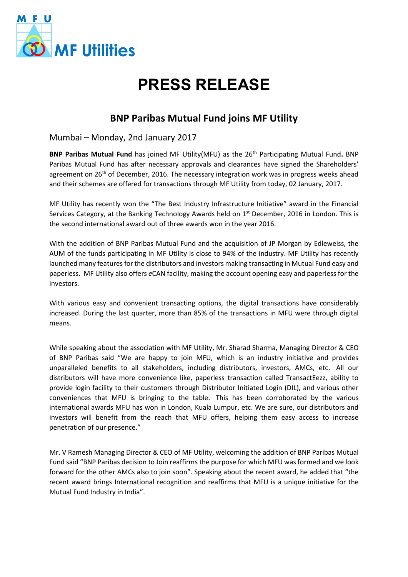

## **PRESS RELEASE**

## **BNP Paribas Mutual Fund joins MF Utility**

Mumbai – Monday, 2nd January 2017

**BNP Paribas Mutual Fund** has joined MF Utility(MFU) as the 26<sup>th</sup> Participating Mutual Fund. BNP Paribas Mutual Fund has after necessary approvals and clearances have signed the Shareholders' agreement on  $26<sup>th</sup>$  of December, 2016. The necessary integration work was in progress weeks ahead and their schemes are offered for transactions through MF Utility from today, 02 January, 2017.

MF Utility has recently won the "The Best Industry Infrastructure Initiative" award in the Financial Services Category, at the Banking Technology Awards held on  $1<sup>st</sup>$  December, 2016 in London. This is the second international award out of three awards won in the year 2016.

With the addition of BNP Paribas Mutual Fund and the acquisition of JP Morgan by Edleweiss, the AUM of the funds participating in MF Utility is close to 94% of the industry. MF Utility has recently launched many features for the distributors and investors making transacting in Mutual Fund easy and paperless. MF Utility also offers *e*CAN facility, making the account opening easy and paperless for the investors.

With various easy and convenient transacting options, the digital transactions have considerably increased. During the last quarter, more than 85% of the transactions in MFU were through digital means.

While speaking about the association with MF Utility, Mr. Sharad Sharma, Managing Director & CEO of BNP Paribas said "We are happy to join MFU, which is an industry initiative and provides unparalleled benefits to all stakeholders, including distributors, investors, AMCs, etc. All our distributors will have more convenience like, paperless transaction called TransactEezz, ability to provide login facility to their customers through Distributor Initiated Login (DIL), and various other conveniences that MFU is bringing to the table. This has been corroborated by the various international awards MFU has won in London, Kuala Lumpur, etc. We are sure, our distributors and investors will benefit from the reach that MFU offers, helping them easy access to increase penetration of our presence."

Mr. V Ramesh Managing Director & CEO of MF Utility, welcoming the addition of BNP Paribas Mutual Fund said "BNP Paribas decision to Join reaffirms the purpose for which MFU was formed and we look forward for the other AMCs also to join soon". Speaking about the recent award, he added that "the recent award brings International recognition and reaffirms that MFU is a unique initiative for the Mutual Fund Industry in India".